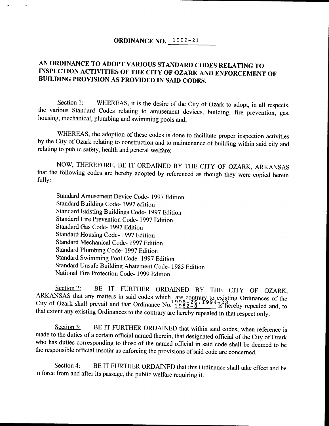## ORDINANCE NO. 1999-21

# AN ORDINANCE TO ADOPT VARIOUS STANDARD CODES RELATING TO INSPECTION ACTIVITIES OF THE CITY OF OZARK AND ENFORCEMENT OF BUILDING PROVISION AS PROVIDED IN SAID CODES.

Section 1: WHEREAS, it is the desire of the City of Ozark to adopt, in all respects, the various Standard Codes relating to amusement devices, building, fire prevention, gas, housing, mechanical, plumbing and swimming pools and;

WHEREAS, the adoption of these codes is done to facilitate proper inspection activities by the City of Ozark relating to construction and to maintenance of building within said city and relating to public safety, health and general welfare;

NOW, THEREFORE, BE IT ORDAINED BY THE CITY OF OZARK, ARKANSAS that the following codes are hereby adopted by referenced as though they were copied herein fully:

Standard Amusement Device Code- 1997 Edition Standard Building Code- 1997 edition Standard Existing Buildings Code- 1997 Edition Standard Fire Prevention Code- 1997 Edition Standard Gas Code- 1997 Edition Standard Housing Code- 1997 Edition Standard Mechanical Code- 1997 Edition Standard Plumbing Code- 1997 Edition Standard Swimming Pool Code- 1997 Edition Standard Unsafe Building Abatement Code- 1985 Edition National Fire Protection Code- 1999 Edition

Section 2: BE IT FURTHER ORDAINED BY THE CITY OF OZARK, ANNANSAS that any matters in said codes which are contrary to existing Ordinances of the<br>City of Ozark shall prevail and that Ordinance No.  $\frac{1982-8}{1982-8}$  is hereby repealed and, to that extent any existing Ordinances to the contrary are hereby repealed in that respect only.

Section 3: BE IT FURTHER ORDAINED that within said codes, when reference is made to the duties of <sup>a</sup> certain official named therein, that designated official of the City of Ozark who has duties corresponding to those of the named official in said code shall be deemed to be the responsible official insofar as enforcing the provisions of said code are concerned.

Section 4: BE IT FURTHER ORDAINED that this Ordinance shall take effect and be in force from and after its passage, the public welfare requiring it.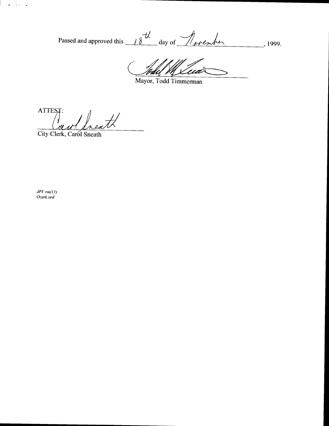Passed and approved this  $18^{-t}$  day of *November*, 1999.

'ia

Mayor, Todd Timmerman

ATTEST:  $\mathscr{A}$ 

City Clerk, Carol Sneath

JPV.-rm( 11) Ozark. ord

 $\vec{z}$  , and  $\vec{z}$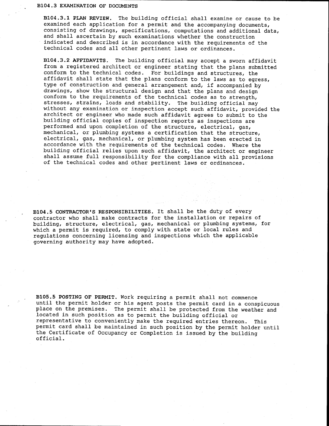#### B104. 3 EXAMINATION OF DOCUMENTS

B104. 3. <sup>1</sup> PLAN REVIEW. The building official shall examine or cause to be examined each application for <sup>a</sup> permit and the accompanying documents, consisting of drawings, specifications, computations and additional data, and shall ascertain by such examinations whether the construction indicated and described is in accordance with the requirements of the technical codes and all other pertinent laws or ordinances.

B104. 3. <sup>2</sup> AFFIDAVITS. The building official may accept <sup>a</sup> sworn affidavit from <sup>a</sup> registered architect or engineer stating that the plans submitted conform to the technical codes. For buildings and structures, the affidavit shall state that the plans conform to the laws as to egress, type of construction and general arrangement and, if accompanied by drawings, show the structural design and that the plans and design conform to the requirements of the technical codes as to strength, stresses, strains, loads and stability. The building official may without any examination or inspection accept such affidavit, provided the architect or engineer who made such affidavit agrees to submit to the building official copies of inspection reports as inspections are performed and upon completion of the structure, electrical, gas, mechanical, or plumbing systems <sup>a</sup> certification that the structure, electrical, gas, mechanical, or plumbing system has been erected in accordance with the requirements of the technical codes. Where the building official relies upon such affidavit, the architect or engineer shall assume full responsibility for the compliance with all provisions of the technical codes and other pertinent laws or ordinances.

B104.5 CONTRACTOR'S RESPONSIBILITIES. It shall be the duty of every contractor who shall make contracts for the installation or repairs of building, structure, electrical, gas, mechanical or plumbing systems, for which <sup>a</sup> permit is required, to comply with state or local rules and regulations concerning licensing and inspections which the applicable governing authority may have adopted.

B105. <sup>5</sup> POSTING OF PERMIT. Work requiring <sup>a</sup> permit shall not commence until the permit holder or his agent posts the permit card in <sup>a</sup> conspicuous place on the premises. The permit shall be protected from the weather and located in such position as to permit the building official or representative to conveniently make the required entries thereon. This permit card shall be maintained in such position by the permit holder until the Certificate of Occupancy or Completion is issued by the building official.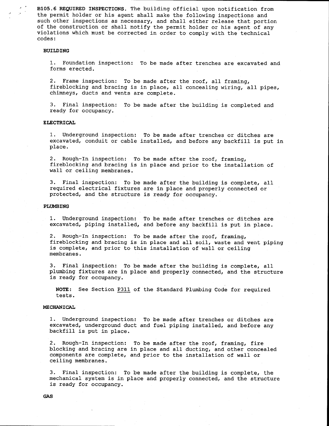B105. <sup>6</sup> REQUIRED INSPECTIONS. The building official upon notification from the permit holder or his agent shall make the following inspections and such other inspections as necessary, and shall either release that portion of the construction or shall notify the permit holder or his agent of any violations which must be corrected in order to comply with the technical codes:

### BUILDING

1. Foundation inspection: To be made after trenches are excavated and forms erected.

2. Frame inspection: To be made after the roof, all framing, fireblocking and bracing is in place, all concealing wiring, all pipes, chimneys, ducts and vents are complete.

3. Final inspection: To be made after the building is completed and ready for occupancy.

#### ELECTRICAL

1. Underground inspection: To be made after trenches or ditches are excavated, conduit or cable installed, and before any backfill is put in place.

2. Rough-In inspection: To be made after the roof, framing, fireblocking and bracing is in place and prior to the installation of wall or ceiling membranes.

3. Final inspection: To be made after the building is complete, all required electrical fixtures are in place and properly connected or protected, and the structure is ready for occupancy.

#### PLUMBING

1. Underground inspection: To be made after trenches or ditches are excavated, piping installed, and before any backfill is put in place.

2. Rough-In inspection: To be made after the roof, framing, fireblocking and bracing is in place and all soil, waste and vent piping is complete, and prior to this installation of wall or ceiling membranes.

3. Final inspection: To be made after the building is complete, all plumbing fixtures are in place and properly connected, and the structure is ready for occupancy.

NOTE: See Section P311 of the Standard Plumbing Code for required tests.

#### MECHANICAL

1. Underground inspection: To be made after trenches or ditches are excavated, underground duct and fuel piping installed, and before any backfill is put in place.

2. Rough-In inspection: To be made after the roof, framing, fire blocking and bracing are in place and all ducting, and other concealed components are complete, and prior to the installation of wall or ceiling membranes.

3. Final inspection: To be made after the building is complete, the mechanical system is in place and properly connected, and the structure is ready for occupancy.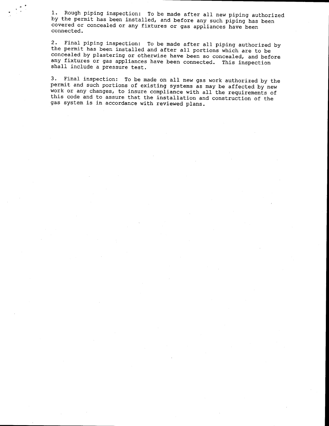1. Rough piping inspection: To be made after all new piping authorized by the permit has been installed, and before any such piping has been covered or concealed or any fixtures or gas appliances have been connected.

2. Final piping inspection: To be made after all piping authorized by the permit has been installed and after all portions which are to be concealed by plastering or otherwise have been so concealed, and before any fixtures or gas appliances have been connected. This inspection shall include <sup>a</sup> pressure test.

3. Final inspection: To be made on all new gas work authorized by the work or any changes, to insure compliance with all the requirements of this code and to assure that the installation and construction of the gas system is in accordance with reviewed plans.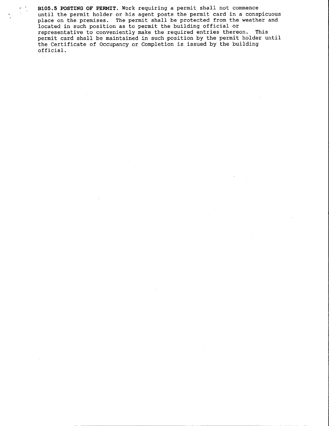B105. <sup>5</sup> POSTING OF PERMIT. Work requiring <sup>a</sup> permit shall not commence until the permit holder or his agent posts the permit card in <sup>a</sup> conspicuous place on the premises. The permit shall be protected from the weather and located in such position as to permit the building official or representative to conveniently make the required entries thereon. This permit card shall be maintained in such position by the permit holder until the Certificate of Occupancy or Completion is issued by the building official.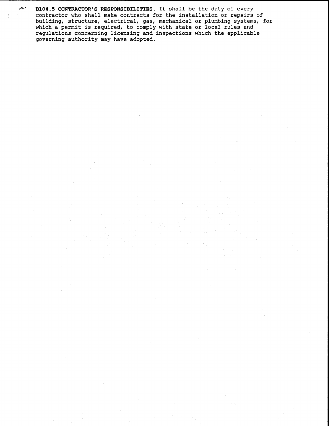B104.5 CONTRACTOR'S RESPONSIBILITIES. It shall be the duty of every contractor who shall make contracts for the installation or repairs of building, structure, electrical, gas, mechanical or plumbing systems, for which <sup>a</sup> permit is required, to comply with state or local rules and regulations concerning licensing and inspections which the applicable governing authority may have adopted.